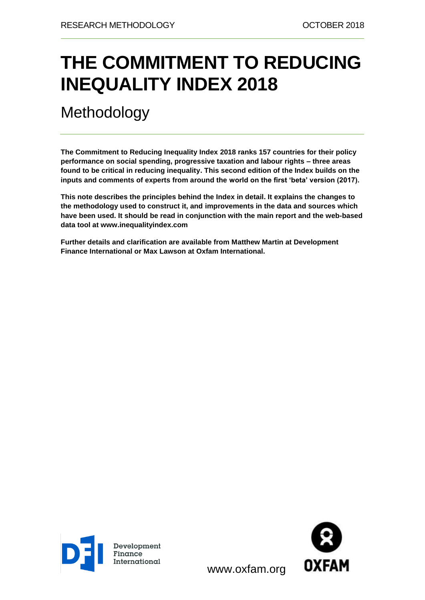# **THE COMMITMENT TO REDUCING INEQUALITY INDEX 2018**

Methodology

**The Commitment to Reducing Inequality Index 2018 ranks 157 countries for their policy performance on social spending, progressive taxation and labour rights – three areas found to be critical in reducing inequality. This second edition of the Index builds on the inputs and comments of experts from around the world on the first 'beta' version (2017).**

**This note describes the principles behind the Index in detail. It explains the changes to the methodology used to construct it, and improvements in the data and sources which have been used. It should be read in conjunction with the main report and the web-based data tool at [www.inequalityindex.org](http://www.inequalityindex.com/)** 

**Further details and clarification are available from Matthew Martin at Development Finance International or Max Lawson at Oxfam International.**





www.oxfam.org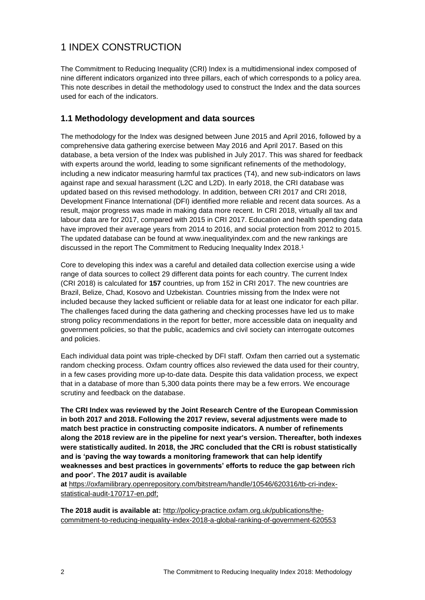# 1 INDEX CONSTRUCTION

The Commitment to Reducing Inequality (CRI) Index is a multidimensional index composed of nine different indicators organized into three pillars, each of which corresponds to a policy area. This note describes in detail the methodology used to construct the Index and the data sources used for each of the indicators.

### **1.1 Methodology development and data sources**

The methodology for the Index was designed between June 2015 and April 2016, followed by a comprehensive data gathering exercise between May 2016 and April 2017. Based on this database, a beta version of the Index was published in July 2017. This was shared for feedback with experts around the world, leading to some significant refinements of the methodology, including a new indicator measuring harmful tax practices (T4), and new sub-indicators on laws against rape and sexual harassment (L2C and L2D). In early 2018, the CRI database was updated based on this revised methodology. In addition, between CRI 2017 and CRI 2018, Development Finance International (DFI) identified more reliable and recent data sources. As a result, major progress was made in making data more recent. In CRI 2018, virtually all tax and labour data are for 2017, compared with 2015 in CRI 2017. Education and health spending data have improved their average years from 2014 to 2016, and social protection from 2012 to 2015. The updated database can be found at [www.inequalityindex.](http://www.inequalityindex.com/)org and the new rankings are discussed in the report The Commitment to Reducing Inequality Index 2018.<sup>1</sup>

Core to developing this index was a careful and detailed data collection exercise using a wide range of data sources to collect 29 different data points for each country. The current Index (CRI 2018) is calculated for **157** countries, up from 152 in CRI 2017. The new countries are Brazil, Belize, Chad, Kosovo and Uzbekistan. Countries missing from the Index were not included because they lacked sufficient or reliable data for at least one indicator for each pillar. The challenges faced during the data gathering and checking processes have led us to make strong policy recommendations in the report for better, more accessible data on inequality and government policies, so that the public, academics and civil society can interrogate outcomes and policies.

Each individual data point was triple-checked by DFI staff. Oxfam then carried out a systematic random checking process. Oxfam country offices also reviewed the data used for their country, in a few cases providing more up-to-date data. Despite this data validation process, we expect that in a database of more than 5,300 data points there may be a few errors. We encourage scrutiny and feedback on the database.

**The CRI Index was reviewed by the Joint Research Centre of the European Commission in both 2017 and 2018. Following the 2017 review, several adjustments were made to match best practice in constructing composite indicators. A number of refinements along the 2018 review are in the pipeline for next year's version. Thereafter, both indexes were statistically audited. In 2018, the JRC concluded that the CRI is robust statistically and is 'paving the way towards a monitoring framework that can help identify weaknesses and best practices in governments' efforts to reduce the gap between rich and poor'. The 2017 audit is available** 

**at** [https://oxfamilibrary.openrepository.com/bitstream/handle/10546/620316/tb-cri-index](https://oxfamilibrary.openrepository.com/bitstream/handle/10546/620316/tb-cri-index-statistical-audit-170717-en.pdf;%20jsessionid=9AF96002DB4C0030537F4C15F4A6874E?sequence=4)[statistical-audit-170717-en.pdf;](https://oxfamilibrary.openrepository.com/bitstream/handle/10546/620316/tb-cri-index-statistical-audit-170717-en.pdf;%20jsessionid=9AF96002DB4C0030537F4C15F4A6874E?sequence=4) 

**The 2018 audit is available at:** [http://policy-practice.oxfam.org.uk/publications/the](http://policy-practice.oxfam.org.uk/publications/the-commitment-to-reducing-inequality-index-2018-a-global-ranking-of-government-620553)[commitment-to-reducing-inequality-index-2018-a-global-ranking-of-government-620553](http://policy-practice.oxfam.org.uk/publications/the-commitment-to-reducing-inequality-index-2018-a-global-ranking-of-government-620553)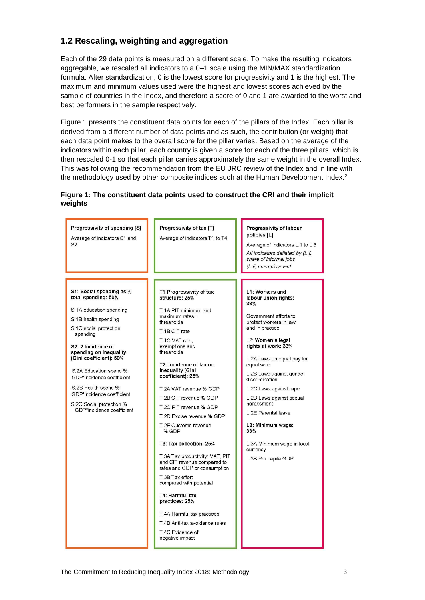### **1.2 Rescaling, weighting and aggregation**

Each of the 29 data points is measured on a different scale. To make the resulting indicators aggregable, we rescaled all indicators to a 0–1 scale using the MIN/MAX standardization formula. After standardization, 0 is the lowest score for progressivity and 1 is the highest. The maximum and minimum values used were the highest and lowest scores achieved by the sample of countries in the Index, and therefore a score of 0 and 1 are awarded to the worst and best performers in the sample respectively.

Figure 1 presents the constituent data points for each of the pillars of the Index. Each pillar is derived from a different number of data points and as such, the contribution (or weight) that each data point makes to the overall score for the pillar varies. Based on the average of the indicators within each pillar, each country is given a score for each of the three pillars, which is then rescaled 0-1 so that each pillar carries approximately the same weight in the overall Index. This was following the recommendation from the EU JRC review of the Index and in line with the methodology used by other composite indices such at the Human Development Index.<sup>2</sup>

#### **Figure 1: The constituent data points used to construct the CRI and their implicit weights**

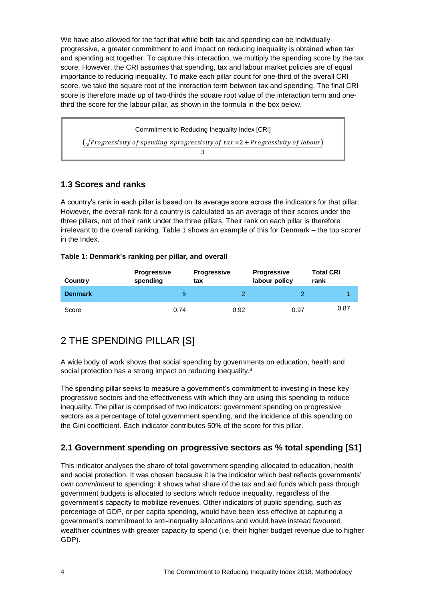We have also allowed for the fact that while both tax and spending can be individually progressive, a greater commitment to and impact on reducing inequality is obtained when tax and spending act together. To capture this interaction, we multiply the spending score by the tax score. However, the CRI assumes that spending, tax and labour market policies are of equal importance to reducing inequality. To make each pillar count for one-third of the overall CRI score, we take the square root of the interaction term between tax and spending. The final CRI score is therefore made up of two-thirds the square root value of the interaction term and onethird the score for the labour pillar, as shown in the formula in the box below.

| Commitment to Reducing Inequality Index [CRI]                                                       |  |  |  |  |  |
|-----------------------------------------------------------------------------------------------------|--|--|--|--|--|
| $(\sqrt{Progressivity of spending \times progressivity of tax \times 2 + Progressivity of labour})$ |  |  |  |  |  |
|                                                                                                     |  |  |  |  |  |

### **1.3 Scores and ranks**

A country's rank in each pillar is based on its average score across the indicators for that pillar. However, the overall rank for a country is calculated as an average of their scores under the three pillars, not of their rank under the three pillars. Their rank on each pillar is therefore irrelevant to the overall ranking. Table 1 shows an example of this for Denmark – the top scorer in the Index.

#### **Table 1: Denmark's ranking per pillar, and overall**

| <b>Country</b> | <b>Progressive</b><br>spending | <b>Progressive</b><br>tax | <b>Progressive</b><br>labour policy | <b>Total CRI</b><br>rank |
|----------------|--------------------------------|---------------------------|-------------------------------------|--------------------------|
| <b>Denmark</b> | b                              |                           |                                     |                          |
| Score          | 0.74                           | 0.92                      | 0.97                                | 0.87                     |

# 2 THE SPENDING PILLAR [S]

A wide body of work shows that social spending by governments on education, health and social protection has a strong impact on reducing inequality.<sup>3</sup>

The spending pillar seeks to measure a government's commitment to investing in these key progressive sectors and the effectiveness with which they are using this spending to reduce inequality. The pillar is comprised of two indicators: government spending on progressive sectors as a percentage of total government spending, and the incidence of this spending on the Gini coefficient. Each indicator contributes 50% of the score for this pillar.

# **2.1 Government spending on progressive sectors as % total spending [S1]**

This indicator analyses the share of total government spending allocated to education, health and social protection. It was chosen because it is the indicator which best reflects governments' own *commitment* to spending: it shows what share of the tax and aid funds which pass through government budgets is allocated to sectors which reduce inequality, regardless of the government's capacity to mobilize revenues. Other indicators of public spending, such as percentage of GDP, or per capita spending, would have been less effective at capturing a government's commitment to anti-inequality allocations and would have instead favoured wealthier countries with greater capacity to spend (i.e. their higher budget revenue due to higher GDP).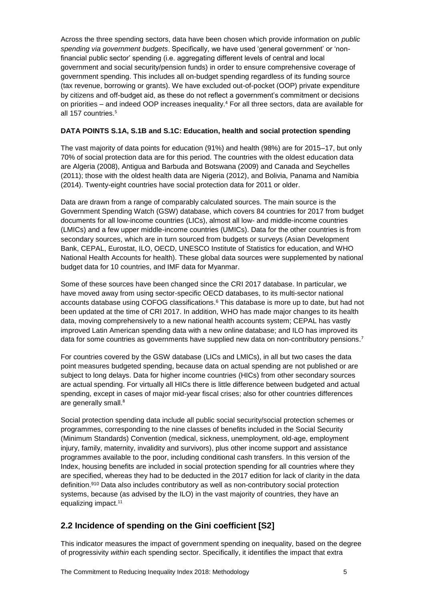Across the three spending sectors, data have been chosen which provide information on *public spending via government budgets*. Specifically, we have used 'general government' or 'nonfinancial public sector' spending (i.e. aggregating different levels of central and local government and social security/pension funds) in order to ensure comprehensive coverage of government spending. This includes all on-budget spending regardless of its funding source (tax revenue, borrowing or grants). We have excluded out-of-pocket (OOP) private expenditure by citizens and off-budget aid, as these do not reflect a government's commitment or decisions on priorities – and indeed OOP increases inequality.<sup>4</sup> For all three sectors, data are available for all 157 countries.<sup>5</sup>

#### **DATA POINTS S.1A, S.1B and S.1C: Education, health and social protection spending**

The vast majority of data points for education (91%) and health (98%) are for 2015–17, but only 70% of social protection data are for this period. The countries with the oldest education data are Algeria (2008), Antigua and Barbuda and Botswana (2009) and Canada and Seychelles (2011); those with the oldest health data are Nigeria (2012), and Bolivia, Panama and Namibia (2014). Twenty-eight countries have social protection data for 2011 or older.

Data are drawn from a range of comparably calculated sources. The main source is the Government Spending Watch (GSW) database, which covers 84 countries for 2017 from budget documents for all low-income countries (LICs), almost all low- and middle-income countries (LMICs) and a few upper middle-income countries (UMICs). Data for the other countries is from secondary sources, which are in turn sourced from budgets or surveys (Asian Development Bank, CEPAL, Eurostat, ILO, OECD, UNESCO Institute of Statistics for education, and WHO National Health Accounts for health). These global data sources were supplemented by national budget data for 10 countries, and IMF data for Myanmar.

Some of these sources have been changed since the CRI 2017 database. In particular, we have moved away from using sector-specific OECD databases, to its multi-sector national accounts database using COFOG classifications. <sup>6</sup> This database is more up to date, but had not been updated at the time of CRI 2017. In addition, WHO has made major changes to its health data, moving comprehensively to a new national health accounts system; CEPAL has vastly improved Latin American spending data with a new online database; and ILO has improved its data for some countries as governments have supplied new data on non-contributory pensions.<sup>7</sup>

For countries covered by the GSW database (LICs and LMICs), in all but two cases the data point measures budgeted spending, because data on actual spending are not published or are subject to long delays. Data for higher income countries (HICs) from other secondary sources are actual spending. For virtually all HICs there is little difference between budgeted and actual spending, except in cases of major mid-year fiscal crises; also for other countries differences are generally small.<sup>8</sup>

Social protection spending data include all public social security/social protection schemes or programmes, corresponding to the nine classes of benefits included in the Social Security (Minimum Standards) Convention (medical, sickness, unemployment, old-age, employment injury, family, maternity, invalidity and survivors), plus other income support and assistance programmes available to the poor, including conditional cash transfers. In this version of the Index, housing benefits are included in social protection spending for all countries where they are specified, whereas they had to be deducted in the 2017 edition for lack of clarity in the data definition.<sup>910</sup> Data also includes contributory as well as non-contributory social protection systems, because (as advised by the ILO) in the vast majority of countries, they have an equalizing impact.<sup>11</sup>

### **2.2 Incidence of spending on the Gini coefficient [S2]**

This indicator measures the impact of government spending on inequality, based on the degree of progressivity *within* each spending sector. Specifically, it identifies the impact that extra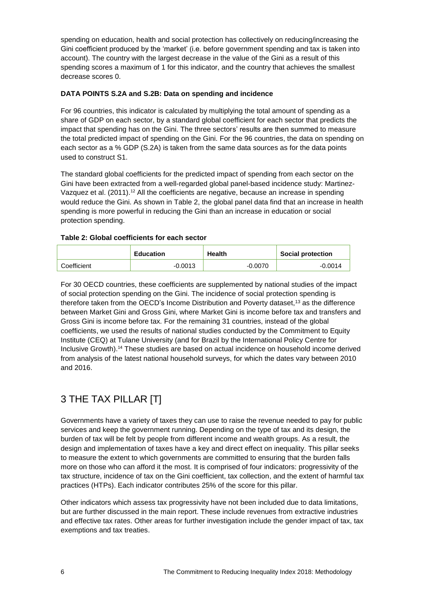spending on education, health and social protection has collectively on reducing/increasing the Gini coefficient produced by the 'market' (i.e. before government spending and tax is taken into account). The country with the largest decrease in the value of the Gini as a result of this spending scores a maximum of 1 for this indicator, and the country that achieves the smallest decrease scores 0.

#### **DATA POINTS S.2A and S.2B: Data on spending and incidence**

For 96 countries, this indicator is calculated by multiplying the total amount of spending as a share of GDP on each sector, by a standard global coefficient for each sector that predicts the impact that spending has on the Gini. The three sectors' results are then summed to measure the total predicted impact of spending on the Gini. For the 96 countries, the data on spending on each sector as a % GDP (S.2A) is taken from the same data sources as for the data points used to construct S1.

The standard global coefficients for the predicted impact of spending from each sector on the Gini have been extracted from a well-regarded global panel-based incidence study: Martinez-Vazquez et al. (2011).<sup>12</sup> All the coefficients are negative, because an increase in spending would reduce the Gini. As shown in Table 2, the global panel data find that an increase in health spending is more powerful in reducing the Gini than an increase in education or social protection spending.

#### **Table 2: Global coefficients for each sector**

|             | <b>Education</b> | <b>Health</b> | <b>Social protection</b> |  |
|-------------|------------------|---------------|--------------------------|--|
| Coefficient | $-0.0013$        | $-0.0070$     | $-0.0014$                |  |

For 30 OECD countries, these coefficients are supplemented by national studies of the impact of social protection spending on the Gini. The incidence of social protection spending is therefore taken from the OECD's Income Distribution and Poverty dataset, <sup>13</sup> as the difference between Market Gini and Gross Gini, where Market Gini is income before tax and transfers and Gross Gini is income before tax*.* For the remaining 31 countries, instead of the global coefficients, we used the results of national studies conducted by the Commitment to Equity Institute (CEQ) at Tulane University (and for Brazil by the International Policy Centre for Inclusive Growth). <sup>14</sup> These studies are based on actual incidence on household income derived from analysis of the latest national household surveys, for which the dates vary between 2010 and 2016.

# 3 THE TAX PILLAR [T]

Governments have a variety of taxes they can use to raise the revenue needed to pay for public services and keep the government running. Depending on the type of tax and its design, the burden of tax will be felt by people from different income and wealth groups. As a result, the design and implementation of taxes have a key and direct effect on inequality. This pillar seeks to measure the extent to which governments are committed to ensuring that the burden falls more on those who can afford it the most. It is comprised of four indicators: progressivity of the tax structure, incidence of tax on the Gini coefficient, tax collection, and the extent of harmful tax practices (HTPs). Each indicator contributes 25% of the score for this pillar.

Other indicators which assess tax progressivity have not been included due to data limitations, but are further discussed in the main report. These include revenues from extractive industries and effective tax rates. Other areas for further investigation include the gender impact of tax, tax exemptions and tax treaties.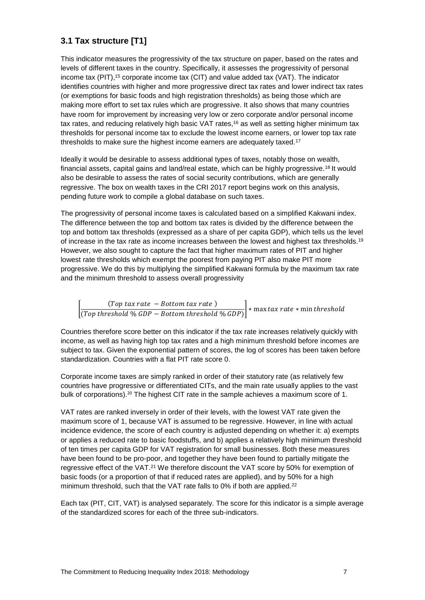# **3.1 Tax structure [T1]**

This indicator measures the progressivity of the tax structure on paper, based on the rates and levels of different taxes in the country. Specifically, it assesses the progressivity of personal income tax (PIT), <sup>15</sup> corporate income tax (CIT) and value added tax (VAT). The indicator identifies countries with higher and more progressive direct tax rates and lower indirect tax rates (or exemptions for basic foods and high registration thresholds) as being those which are making more effort to set tax rules which are progressive. It also shows that many countries have room for improvement by increasing very low or zero corporate and/or personal income tax rates, and reducing relatively high basic VAT rates,<sup>16</sup> as well as setting higher minimum tax thresholds for personal income tax to exclude the lowest income earners, or lower top tax rate thresholds to make sure the highest income earners are adequately taxed.<sup>17</sup>

Ideally it would be desirable to assess additional types of taxes, notably those on wealth, financial assets, capital gains and land/real estate, which can be highly progressive.<sup>18</sup> It would also be desirable to assess the rates of social security contributions, which are generally regressive. The box on wealth taxes in the CRI 2017 report begins work on this analysis, pending future work to compile a global database on such taxes.

The progressivity of personal income taxes is calculated based on a simplified Kakwani index. The difference between the top and bottom tax rates is divided by the difference between the top and bottom tax thresholds (expressed as a share of per capita GDP), which tells us the level of increase in the tax rate as income increases between the lowest and highest tax thresholds.<sup>19</sup> However, we also sought to capture the fact that higher maximum rates of PIT and higher lowest rate thresholds which exempt the poorest from paying PIT also make PIT more progressive. We do this by multiplying the simplified Kakwani formula by the maximum tax rate and the minimum threshold to assess overall progressivity

 $\left[\frac{(Top\ tax\ rate\ -\ Bottom\ tax\ rate)}{(T-1)(1-(OP\ R-1)-1)}\right]$  $\frac{1}{(Top\ threshold\ %\ GDP-Bottom\ threshold\ %\ GDP)}$  \* max tax rate \* min threshold

Countries therefore score better on this indicator if the tax rate increases relatively quickly with income, as well as having high top tax rates and a high minimum threshold before incomes are subject to tax. Given the exponential pattern of scores, the log of scores has been taken before standardization. Countries with a flat PIT rate score 0.

Corporate income taxes are simply ranked in order of their statutory rate (as relatively few countries have progressive or differentiated CITs, and the main rate usually applies to the vast bulk of corporations).<sup>20</sup> The highest CIT rate in the sample achieves a maximum score of 1.

VAT rates are ranked inversely in order of their levels, with the lowest VAT rate given the maximum score of 1, because VAT is assumed to be regressive. However, in line with actual incidence evidence, the score of each country is adjusted depending on whether it: a) exempts or applies a reduced rate to basic foodstuffs, and b) applies a relatively high minimum threshold of ten times per capita GDP for VAT registration for small businesses. Both these measures have been found to be pro-poor, and together they have been found to partially mitigate the regressive effect of the VAT.<sup>21</sup> We therefore discount the VAT score by 50% for exemption of basic foods (or a proportion of that if reduced rates are applied), and by 50% for a high minimum threshold, such that the VAT rate falls to 0% if both are applied.<sup>22</sup>

Each tax (PIT, CIT, VAT) is analysed separately. The score for this indicator is a simple average of the standardized scores for each of the three sub-indicators.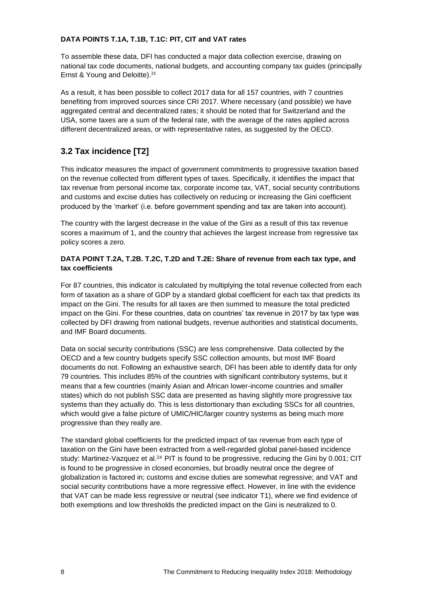#### **DATA POINTS T.1A, T.1B, T.1C: PIT, CIT and VAT rates**

To assemble these data, DFI has conducted a major data collection exercise, drawing on national tax code documents, national budgets, and accounting company tax guides (principally Ernst & Young and Deloitte). 23

As a result, it has been possible to collect 2017 data for all 157 countries, with 7 countries benefiting from improved sources since CRI 2017. Where necessary (and possible) we have aggregated central and decentralized rates; it should be noted that for Switzerland and the USA, some taxes are a sum of the federal rate, with the average of the rates applied across different decentralized areas, or with representative rates, as suggested by the OECD.

# **3.2 Tax incidence [T2]**

This indicator measures the impact of government commitments to progressive taxation based on the revenue collected from different types of taxes. Specifically, it identifies the impact that tax revenue from personal income tax, corporate income tax, VAT, social security contributions and customs and excise duties has collectively on reducing or increasing the Gini coefficient produced by the 'market' (i.e. before government spending and tax are taken into account).

The country with the largest decrease in the value of the Gini as a result of this tax revenue scores a maximum of 1, and the country that achieves the largest increase from regressive tax policy scores a zero.

#### **DATA POINT T.2A, T.2B. T.2C, T.2D and T.2E: Share of revenue from each tax type, and tax coefficients**

For 87 countries, this indicator is calculated by multiplying the total revenue collected from each form of taxation as a share of GDP by a standard global coefficient for each tax that predicts its impact on the Gini. The results for all taxes are then summed to measure the total predicted impact on the Gini. For these countries, data on countries' tax revenue in 2017 by tax type was collected by DFI drawing from national budgets, revenue authorities and statistical documents, and IMF Board documents.

Data on social security contributions (SSC) are less comprehensive. Data collected by the OECD and a few country budgets specify SSC collection amounts, but most IMF Board documents do not. Following an exhaustive search, DFI has been able to identify data for only 79 countries. This includes 85% of the countries with significant contributory systems, but it means that a few countries (mainly Asian and African lower-income countries and smaller states) which do not publish SSC data are presented as having slightly more progressive tax systems than they actually do. This is less distortionary than excluding SSCs for all countries, which would give a false picture of UMIC/HIC/larger country systems as being much more progressive than they really are.

The standard global coefficients for the predicted impact of tax revenue from each type of taxation on the Gini have been extracted from a well-regarded global panel-based incidence study: Martinez-Vazquez et al.<sup>24</sup> PIT is found to be progressive, reducing the Gini by 0.001; CIT is found to be progressive in closed economies, but broadly neutral once the degree of globalization is factored in; customs and excise duties are somewhat regressive; and VAT and social security contributions have a more regressive effect. However, in line with the evidence that VAT can be made less regressive or neutral (see indicator T1), where we find evidence of both exemptions and low thresholds the predicted impact on the Gini is neutralized to 0.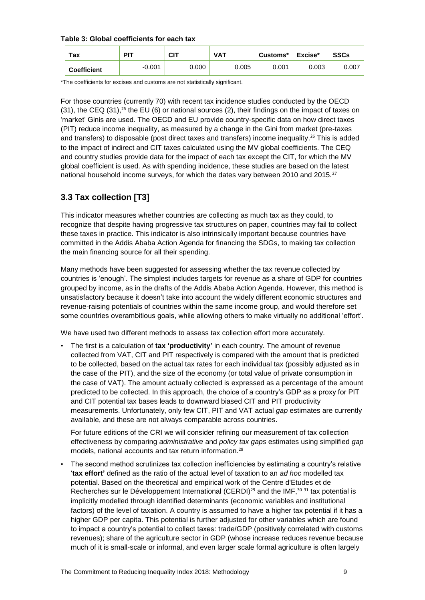#### **Table 3: Global coefficients for each tax**

| тах                | <b>PIT</b> | <b>CIT</b> | <b>VAT</b> | Customs* | Excise* | <b>SSCs</b> |
|--------------------|------------|------------|------------|----------|---------|-------------|
| <b>Coefficient</b> | $-0.001$   | 0.000      | 0.005      | 0.001    | 0.003   | 0.007       |

\*The coefficients for excises and customs are not statistically significant.

For those countries (currently 70) with recent tax incidence studies conducted by the OECD  $(31)$ , the CEQ  $(31)$ ,<sup>25</sup> the EU  $(6)$  or national sources  $(2)$ , their findings on the impact of taxes on 'market' Ginis are used. The OECD and EU provide country-specific data on how direct taxes (PIT) reduce income inequality, as measured by a change in the Gini from market (pre-taxes and transfers) to disposable (post direct taxes and transfers) income inequality.<sup>26</sup> This is added to the impact of indirect and CIT taxes calculated using the MV global coefficients. The CEQ and country studies provide data for the impact of each tax except the CIT, for which the MV global coefficient is used. As with spending incidence, these studies are based on the latest national household income surveys, for which the dates vary between 2010 and 2015.<sup>27</sup>

# **3.3 Tax collection [T3]**

This indicator measures whether countries are collecting as much tax as they could, to recognize that despite having progressive tax structures on paper, countries may fail to collect these taxes in practice. This indicator is also intrinsically important because countries have committed in the Addis Ababa Action Agenda for financing the SDGs, to making tax collection the main financing source for all their spending.

Many methods have been suggested for assessing whether the tax revenue collected by countries is 'enough'. The simplest includes targets for revenue as a share of GDP for countries grouped by income, as in the drafts of the Addis Ababa Action Agenda. However, this method is unsatisfactory because it doesn't take into account the widely different economic structures and revenue-raising potentials of countries within the same income group, and would therefore set some countries overambitious goals, while allowing others to make virtually no additional 'effort'.

We have used two different methods to assess tax collection effort more accurately.

• The first is a calculation of **tax 'productivity'** in each country. The amount of revenue collected from VAT, CIT and PIT respectively is compared with the amount that is predicted to be collected, based on the actual tax rates for each individual tax (possibly adjusted as in the case of the PIT), and the size of the economy (or total value of private consumption in the case of VAT). The amount actually collected is expressed as a percentage of the amount predicted to be collected. In this approach, the choice of a country's GDP as a proxy for PIT and CIT potential tax bases leads to downward biased CIT and PIT productivity measurements. Unfortunately, only few CIT, PIT and VAT actual *gap* estimates are currently available, and these are not always comparable across countries.

For future editions of the CRI we will consider refining our measurement of tax collection effectiveness by comparing *administrative* and *policy tax gaps* estimates using simplified *gap*  models, national accounts and tax return information.<sup>28</sup>

• The second method scrutinizes tax collection inefficiencies by estimating a country's relative '**tax effort'** defined as the ratio of the actual level of taxation to an *ad hoc* modelled tax potential. Based on the theoretical and empirical work of the Centre d'Etudes et de Recherches sur le Développement International (CERDI)<sup>29</sup> and the IMF,<sup>30 31</sup> tax potential is implicitly modelled through identified determinants (economic variables and institutional factors) of the level of taxation. A country is assumed to have a higher tax potential if it has a higher GDP per capita. This potential is further adjusted for other variables which are found to impact a country's potential to collect taxes: trade/GDP (positively correlated with customs revenues); share of the agriculture sector in GDP (whose increase reduces revenue because much of it is small-scale or informal, and even larger scale formal agriculture is often largely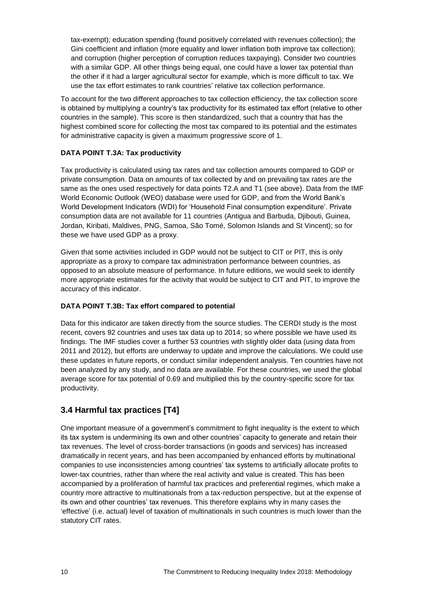tax-exempt); education spending (found positively correlated with revenues collection); the Gini coefficient and inflation (more equality and lower inflation both improve tax collection); and corruption (higher perception of corruption reduces taxpaying). Consider two countries with a similar GDP. All other things being equal, one could have a lower tax potential than the other if it had a larger agricultural sector for example, which is more difficult to tax. We use the tax effort estimates to rank countries' relative tax collection performance.

To account for the two different approaches to tax collection efficiency, the tax collection score is obtained by multiplying a country's tax productivity for its estimated tax effort (relative to other countries in the sample). This score is then standardized, such that a country that has the highest combined score for collecting the most tax compared to its potential and the estimates for administrative capacity is given a maximum progressive score of 1.

#### **DATA POINT T.3A: Tax productivity**

Tax productivity is calculated using tax rates and tax collection amounts compared to GDP or private consumption. Data on amounts of tax collected by and on prevailing tax rates are the same as the ones used respectively for data points T2.A and T1 (see above). Data from the IMF World Economic Outlook (WEO) database were used for GDP, and from the World Bank's World Development Indicators (WDI) for 'Household Final consumption expenditure'. Private consumption data are not available for 11 countries (Antigua and Barbuda, Djibouti, Guinea, Jordan, Kiribati, Maldives, PNG, Samoa, São Tomé, Solomon Islands and St Vincent); so for these we have used GDP as a proxy.

Given that some activities included in GDP would not be subject to CIT or PIT, this is only appropriate as a proxy to compare tax administration performance between countries, as opposed to an absolute measure of performance. In future editions, we would seek to identify more appropriate estimates for the activity that would be subject to CIT and PIT, to improve the accuracy of this indicator.

#### **DATA POINT T.3B: Tax effort compared to potential**

Data for this indicator are taken directly from the source studies. The CERDI study is the most recent, covers 92 countries and uses tax data up to 2014; so where possible we have used its findings. The IMF studies cover a further 53 countries with slightly older data (using data from 2011 and 2012), but efforts are underway to update and improve the calculations. We could use these updates in future reports, or conduct similar independent analysis. Ten countries have not been analyzed by any study, and no data are available. For these countries, we used the global average score for tax potential of 0.69 and multiplied this by the country-specific score for tax productivity.

# **3.4 Harmful tax practices [T4]**

One important measure of a government's commitment to fight inequality is the extent to which its tax system is undermining its own and other countries' capacity to generate and retain their tax revenues. The level of cross-border transactions (in goods and services) has increased dramatically in recent years, and has been accompanied by enhanced efforts by multinational companies to use inconsistencies among countries' tax systems to artificially allocate profits to lower-tax countries, rather than where the real activity and value is created. This has been accompanied by a proliferation of harmful tax practices and preferential regimes, which make a country more attractive to multinationals from a tax-reduction perspective, but at the expense of its own and other countries' tax revenues. This therefore explains why in many cases the 'effective' (i.e. actual) level of taxation of multinationals in such countries is much lower than the statutory CIT rates.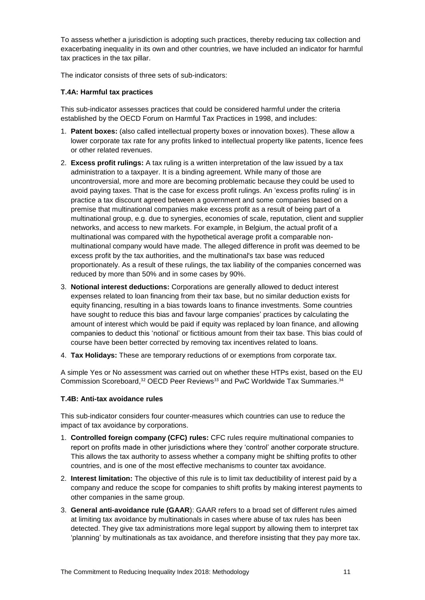To assess whether a jurisdiction is adopting such practices, thereby reducing tax collection and exacerbating inequality in its own and other countries, we have included an indicator for harmful tax practices in the tax pillar.

The indicator consists of three sets of sub-indicators:

#### **T.4A: Harmful tax practices**

This sub-indicator assesses practices that could be considered harmful under the criteria established by the OECD Forum on Harmful Tax Practices in 1998, and includes:

- 1. **Patent boxes:** (also called intellectual property boxes or innovation boxes). These allow a lower corporate tax rate for any profits linked to intellectual property like patents, licence fees or other related revenues.
- 2. **Excess profit rulings:** A tax ruling is a written interpretation of the law issued by a tax administration to a taxpayer. It is a binding agreement. While many of those are uncontroversial, more and more are becoming problematic because they could be used to avoid paying taxes. That is the case for excess profit rulings. An 'excess profits ruling' is in practice a tax discount agreed between a government and some companies based on a premise that multinational companies make excess profit as a result of being part of a multinational group, e.g. due to synergies, economies of scale, reputation, client and supplier networks, and access to new markets. For example, in Belgium, the actual profit of a multinational was compared with the hypothetical average profit a comparable nonmultinational company would have made. The alleged difference in profit was deemed to be excess profit by the tax authorities, and the multinational's tax base was reduced proportionately. As a result of these rulings, the tax liability of the companies concerned was reduced by more than 50% and in some cases by 90%.
- 3. **Notional interest deductions:** Corporations are generally allowed to deduct interest expenses related to loan financing from their tax base, but no similar deduction exists for equity financing, resulting in a bias towards loans to finance investments. Some countries have sought to reduce this bias and favour large companies' practices by calculating the amount of interest which would be paid if equity was replaced by loan finance, and allowing companies to deduct this 'notional' or fictitious amount from their tax base. This bias could of course have been better corrected by removing tax incentives related to loans.
- 4. **Tax Holidays:** These are temporary reductions of or exemptions from corporate tax.

A simple Yes or No assessment was carried out on whether these HTPs exist, based on the EU Commission Scoreboard,<sup>32</sup> OECD Peer Reviews<sup>33</sup> and PwC Worldwide Tax Summaries.<sup>34</sup>

#### **T.4B: Anti-tax avoidance rules**

This sub-indicator considers four counter-measures which countries can use to reduce the impact of tax avoidance by corporations.

- 1. **Controlled foreign company (CFC) rules:** CFC rules require multinational companies to report on profits made in other jurisdictions where they 'control' another corporate structure. This allows the tax authority to assess whether a company might be shifting profits to other countries, and is one of the most effective mechanisms to counter tax avoidance.
- 2. **Interest limitation:** The objective of this rule is to limit tax deductibility of interest paid by a company and reduce the scope for companies to shift profits by making interest payments to other companies in the same group.
- 3. **General anti-avoidance rule (GAAR**): GAAR refers to a broad set of different rules aimed at limiting tax avoidance by multinationals in cases where abuse of tax rules has been detected. They give tax administrations more legal support by allowing them to interpret tax 'planning' by multinationals as tax avoidance, and therefore insisting that they pay more tax.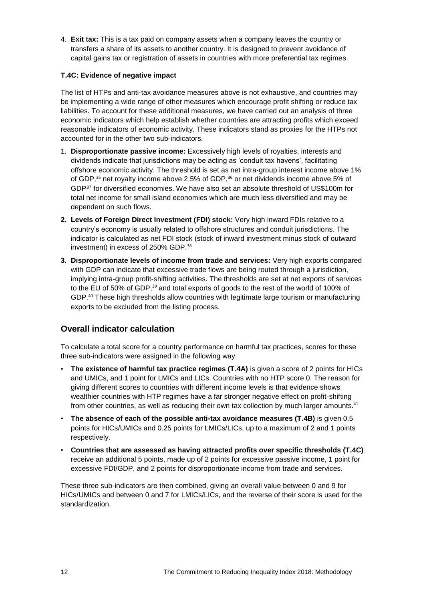4. **Exit tax:** This is a tax paid on company assets when a company leaves the country or transfers a share of its assets to another country. It is designed to prevent avoidance of capital gains tax or registration of assets in countries with more preferential tax regimes.

#### **T.4C: Evidence of negative impact**

The list of HTPs and anti-tax avoidance measures above is not exhaustive, and countries may be implementing a wide range of other measures which encourage profit shifting or reduce tax liabilities. To account for these additional measures, we have carried out an analysis of three economic indicators which help establish whether countries are attracting profits which exceed reasonable indicators of economic activity. These indicators stand as proxies for the HTPs not accounted for in the other two sub-indicators.

- 1. **Disproportionate passive income:** Excessively high levels of royalties, interests and dividends indicate that jurisdictions may be acting as 'conduit tax havens', facilitating offshore economic activity. The threshold is set as net intra-group interest income above 1% of GDP,<sup>35</sup> net royalty income above 2.5% of GDP,<sup>36</sup> or net dividends income above 5% of GDP<sup>37</sup> for diversified economies. We have also set an absolute threshold of US\$100m for total net income for small island economies which are much less diversified and may be dependent on such flows.
- **2. Levels of Foreign Direct Investment (FDI) stock:** Very high inward FDIs relative to a country's economy is usually related to offshore structures and conduit jurisdictions. The indicator is calculated as net FDI stock (stock of inward investment minus stock of outward investment) in excess of 250% GDP.<sup>38</sup>
- **3. Disproportionate levels of income from trade and services:** Very high exports compared with GDP can indicate that excessive trade flows are being routed through a jurisdiction, implying intra-group profit-shifting activities. The thresholds are set at net exports of services to the EU of 50% of GDP,<sup>39</sup> and total exports of goods to the rest of the world of 100% of GDP.<sup>40</sup> These high thresholds allow countries with legitimate large tourism or manufacturing exports to be excluded from the listing process.

### **Overall indicator calculation**

To calculate a total score for a country performance on harmful tax practices, scores for these three sub-indicators were assigned in the following way.

- **The existence of harmful tax practice regimes (T.4A)** is given a score of 2 points for HICs and UMICs, and 1 point for LMICs and LICs. Countries with no HTP score 0. The reason for giving different scores to countries with different income levels is that evidence shows wealthier countries with HTP regimes have a far stronger negative effect on profit-shifting from other countries, as well as reducing their own tax collection by much larger amounts.<sup>41</sup>
- **The absence of each of the possible anti-tax avoidance measures (T.4B)** is given 0.5 points for HICs/UMICs and 0.25 points for LMICs/LICs, up to a maximum of 2 and 1 points respectively.
- **Countries that are assessed as having attracted profits over specific thresholds (T.4C)** receive an additional 5 points, made up of 2 points for excessive passive income, 1 point for excessive FDI/GDP, and 2 points for disproportionate income from trade and services.

These three sub-indicators are then combined, giving an overall value between 0 and 9 for HICs/UMICs and between 0 and 7 for LMICs/LICs, and the reverse of their score is used for the standardization.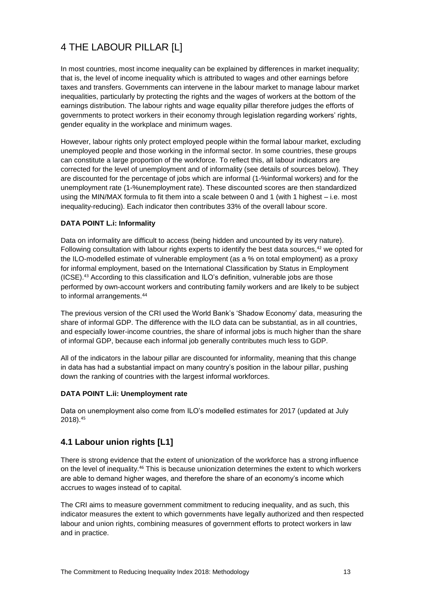# 4 THE LABOUR PILLAR [L]

In most countries, most income inequality can be explained by differences in market inequality; that is, the level of income inequality which is attributed to wages and other earnings before taxes and transfers. Governments can intervene in the labour market to manage labour market inequalities, particularly by protecting the rights and the wages of workers at the bottom of the earnings distribution. The labour rights and wage equality pillar therefore judges the efforts of governments to protect workers in their economy through legislation regarding workers' rights, gender equality in the workplace and minimum wages.

However, labour rights only protect employed people within the formal labour market, excluding unemployed people and those working in the informal sector. In some countries, these groups can constitute a large proportion of the workforce. To reflect this, all labour indicators are corrected for the level of unemployment and of informality (see details of sources below). They are discounted for the percentage of jobs which are informal (1-%informal workers) and for the unemployment rate (1-%unemployment rate). These discounted scores are then standardized using the MIN/MAX formula to fit them into a scale between 0 and 1 (with 1 highest – i.e. most inequality-reducing). Each indicator then contributes 33% of the overall labour score.

#### **DATA POINT L.i: Informality**

Data on informality are difficult to access (being hidden and uncounted by its very nature). Following consultation with labour rights experts to identify the best data sources, $42$  we opted for the ILO-modelled estimate of vulnerable employment (as a % on total employment) as a proxy for informal employment, based on the International Classification by Status in Employment (ICSE).<sup>43</sup> According to this classification and ILO's definition, vulnerable jobs are those performed by own-account workers and contributing family workers and are likely to be subject to informal arrangements. 44

The previous version of the CRI used the World Bank's 'Shadow Economy' data, measuring the share of informal GDP. The difference with the ILO data can be substantial, as in all countries, and especially lower-income countries, the share of informal jobs is much higher than the share of informal GDP, because each informal job generally contributes much less to GDP.

All of the indicators in the labour pillar are discounted for informality, meaning that this change in data has had a substantial impact on many country's position in the labour pillar, pushing down the ranking of countries with the largest informal workforces.

#### **DATA POINT L.ii: Unemployment rate**

Data on unemployment also come from ILO's modelled estimates for 2017 (updated at July 2018). 45

### **4.1 Labour union rights [L1]**

There is strong evidence that the extent of unionization of the workforce has a strong influence on the level of inequality.<sup>46</sup> This is because unionization determines the extent to which workers are able to demand higher wages, and therefore the share of an economy's income which accrues to wages instead of to capital.

The CRI aims to measure government commitment to reducing inequality, and as such, this indicator measures the extent to which governments have legally authorized and then respected labour and union rights, combining measures of government efforts to protect workers in law and in practice.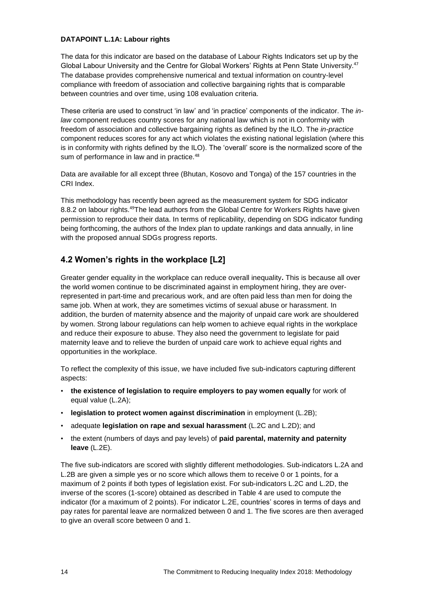#### **DATAPOINT L.1A: Labour rights**

The data for this indicator are based on the database of Labour Rights Indicators set up by the Global Labour University and the Centre for Global Workers' Rights at Penn State University.<sup>47</sup> The database provides comprehensive numerical and textual information on country-level compliance with freedom of association and collective bargaining rights that is comparable between countries and over time, using 108 evaluation criteria.

These criteria are used to construct 'in law' and 'in practice' components of the indicator. The *inlaw* component reduces country scores for any national law which is not in conformity with freedom of association and collective bargaining rights as defined by the ILO. The *in-practice* component reduces scores for any act which violates the existing national legislation (where this is in conformity with rights defined by the ILO). The 'overall' score is the normalized score of the sum of performance in law and in practice.<sup>48</sup>

Data are available for all except three (Bhutan, Kosovo and Tonga) of the 157 countries in the CRI Index.

This methodology has recently been agreed as the measurement system for SDG indicator 8.8.2 on labour rights.<sup>49</sup>The lead authors from the Global Centre for Workers Rights have given permission to reproduce their data. In terms of replicability, depending on SDG indicator funding being forthcoming, the authors of the Index plan to update rankings and data annually, in line with the proposed annual SDGs progress reports.

# **4.2 Women's rights in the workplace [L2]**

Greater gender equality in the workplace can reduce overall inequality**.** This is because all over the world women continue to be discriminated against in employment hiring, they are overrepresented in part-time and precarious work, and are often paid less than men for doing the same job. When at work, they are sometimes victims of sexual abuse or harassment. In addition, the burden of maternity absence and the majority of unpaid care work are shouldered by women. Strong labour regulations can help women to achieve equal rights in the workplace and reduce their exposure to abuse. They also need the government to legislate for paid maternity leave and to relieve the burden of unpaid care work to achieve equal rights and opportunities in the workplace.

To reflect the complexity of this issue, we have included five sub-indicators capturing different aspects:

- **the existence of legislation to require employers to pay women equally** for work of equal value (L.2A);
- **legislation to protect women against discrimination** in employment (L.2B);
- adequate **legislation on rape and sexual harassment** (L.2C and L.2D); and
- the extent (numbers of days and pay levels) of **paid parental, maternity and paternity leave** (L.2E).

The five sub-indicators are scored with slightly different methodologies. Sub-indicators L.2A and L.2B are given a simple yes or no score which allows them to receive 0 or 1 points, for a maximum of 2 points if both types of legislation exist. For sub-indicators L.2C and L.2D, the inverse of the scores (1-score) obtained as described in Table 4 are used to compute the indicator (for a maximum of 2 points). For indicator L.2E, countries' scores in terms of days and pay rates for parental leave are normalized between 0 and 1. The five scores are then averaged to give an overall score between 0 and 1.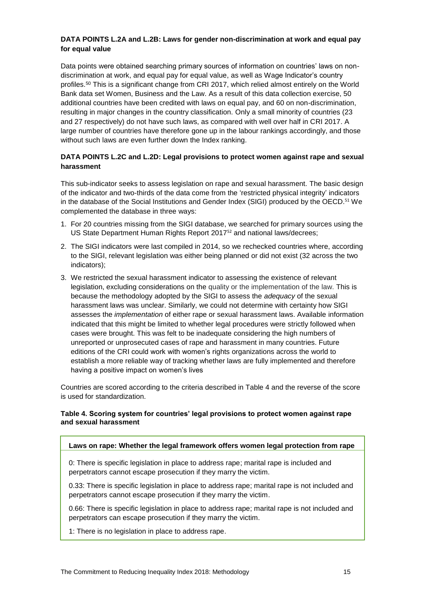#### **DATA POINTS L.2A and L.2B: Laws for gender non-discrimination at work and equal pay for equal value**

Data points were obtained searching primary sources of information on countries' laws on nondiscrimination at work, and equal pay for equal value, as well as Wage Indicator's country profiles. <sup>50</sup> This is a significant change from CRI 2017, which relied almost entirely on the World Bank data set Women, Business and the Law. As a result of this data collection exercise, 50 additional countries have been credited with laws on equal pay, and 60 on non-discrimination, resulting in major changes in the country classification. Only a small minority of countries (23 and 27 respectively) do not have such laws, as compared with well over half in CRI 2017. A large number of countries have therefore gone up in the labour rankings accordingly, and those without such laws are even further down the Index ranking.

#### **DATA POINTS L.2C and L.2D: Legal provisions to protect women against rape and sexual harassment**

This sub-indicator seeks to assess legislation on rape and sexual harassment. The basic design of the indicator and two-thirds of the data come from the 'restricted physical integrity' indicators in the database of the Social Institutions and Gender Index (SIGI) produced by the OECD.<sup>51</sup> We complemented the database in three ways:

- 1. For 20 countries missing from the SIGI database, we searched for primary sources using the US State Department Human Rights Report 2017<sup>52</sup> and national laws/decrees;
- 2. The SIGI indicators were last compiled in 2014, so we rechecked countries where, according to the SIGI, relevant legislation was either being planned or did not exist (32 across the two indicators);
- 3. We restricted the sexual harassment indicator to assessing the existence of relevant legislation, excluding considerations on the quality or the implementation of the law. This is because the methodology adopted by the SIGI to assess the *adequacy* of the sexual harassment laws was unclear. Similarly, we could not determine with certainty how SIGI assesses the *implementation* of either rape or sexual harassment laws. Available information indicated that this might be limited to whether legal procedures were strictly followed when cases were brought. This was felt to be inadequate considering the high numbers of unreported or unprosecuted cases of rape and harassment in many countries. Future editions of the CRI could work with women's rights organizations across the world to establish a more reliable way of tracking whether laws are fully implemented and therefore having a positive impact on women's lives

Countries are scored according to the criteria described in Table 4 and the reverse of the score is used for standardization.

#### **Table 4. Scoring system for countries' legal provisions to protect women against rape and sexual harassment**

#### **Laws on rape: Whether the legal framework offers women legal protection from rape**

0: There is specific legislation in place to address rape; marital rape is included and perpetrators cannot escape prosecution if they marry the victim.

0.33: There is specific legislation in place to address rape; marital rape is not included and perpetrators cannot escape prosecution if they marry the victim.

0.66: There is specific legislation in place to address rape; marital rape is not included and perpetrators can escape prosecution if they marry the victim.

1: There is no legislation in place to address rape.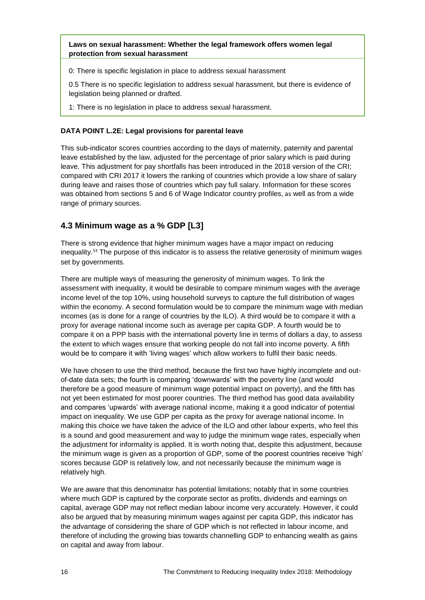#### **Laws on sexual harassment: Whether the legal framework offers women legal protection from sexual harassment**

0: There is specific legislation in place to address sexual harassment

0.5 There is no specific legislation to address sexual harassment, but there is evidence of legislation being planned or drafted.

1: There is no legislation in place to address sexual harassment.

#### **DATA POINT L.2E: Legal provisions for parental leave**

This sub-indicator scores countries according to the days of maternity, paternity and parental leave established by the law, adjusted for the percentage of prior salary which is paid during leave. This adjustment for pay shortfalls has been introduced in the 2018 version of the CRI; compared with CRI 2017 it lowers the ranking of countries which provide a low share of salary during leave and raises those of countries which pay full salary. Information for these scores was obtained from sections 5 and 6 of Wage Indicator country profiles, as well as from a wide range of primary sources.

# **4.3 Minimum wage as a % GDP [L3]**

There is strong evidence that higher minimum wages have a major impact on reducing inequality.<sup>53</sup> The purpose of this indicator is to assess the relative generosity of minimum wages set by governments.

There are multiple ways of measuring the generosity of minimum wages. To link the assessment with inequality, it would be desirable to compare minimum wages with the average income level of the top 10%, using household surveys to capture the full distribution of wages within the economy. A second formulation would be to compare the minimum wage with median incomes (as is done for a range of countries by the ILO). A third would be to compare it with a proxy for average national income such as average per capita GDP. A fourth would be to compare it on a PPP basis with the international poverty line in terms of dollars a day, to assess the extent to which wages ensure that working people do not fall into income poverty. A fifth would be to compare it with 'living wages' which allow workers to fulfil their basic needs.

We have chosen to use the third method, because the first two have highly incomplete and outof-date data sets; the fourth is comparing 'downwards' with the poverty line (and would therefore be a good measure of minimum wage potential impact on poverty), and the fifth has not yet been estimated for most poorer countries. The third method has good data availability and compares 'upwards' with average national income, making it a good indicator of potential impact on inequality. We use GDP per capita as the proxy for average national income. In making this choice we have taken the advice of the ILO and other labour experts, who feel this is a sound and good measurement and way to judge the minimum wage rates, especially when the adjustment for informality is applied. It is worth noting that, despite this adjustment, because the minimum wage is given as a proportion of GDP, some of the poorest countries receive 'high' scores because GDP is relatively low, and not necessarily because the minimum wage is relatively high.

We are aware that this denominator has potential limitations; notably that in some countries where much GDP is captured by the corporate sector as profits, dividends and earnings on capital, average GDP may not reflect median labour income very accurately. However, it could also be argued that by measuring minimum wages against per capita GDP, this indicator has the advantage of considering the share of GDP which is not reflected in labour income, and therefore of including the growing bias towards channelling GDP to enhancing wealth as gains on capital and away from labour.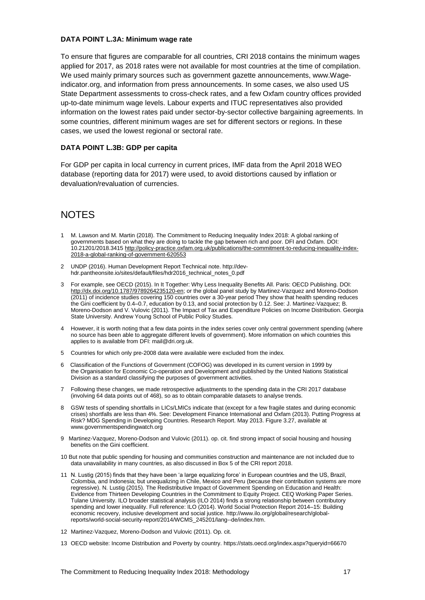#### **DATA POINT L.3A: Minimum wage rate**

To ensure that figures are comparable for all countries, CRI 2018 contains the minimum wages applied for 2017, as 2018 rates were not available for most countries at the time of compilation. We used mainly primary sources such as government gazette announcements, www.Wageindicator.org, and information from press announcements. In some cases, we also used US State Department assessments to cross-check rates, and a few Oxfam country offices provided up-to-date minimum wage levels. Labour experts and ITUC representatives also provided information on the lowest rates paid under sector-by-sector collective bargaining agreements. In some countries, different minimum wages are set for different sectors or regions. In these cases, we used the lowest regional or sectoral rate.

#### **DATA POINT L.3B: GDP per capita**

For GDP per capita in local currency in current prices, IMF data from the April 2018 WEO database (reporting data for 2017) were used, to avoid distortions caused by inflation or devaluation/revaluation of currencies.

# **NOTES**

- 1 M. Lawson and M. Martin (2018). The Commitment to Reducing Inequality Index 2018: A global ranking of governments based on what they are doing to tackle the gap between rich and poor. DFI and Oxfam. DOI: 10.21201/2018.3415 [http://policy-practice.oxfam.org.uk/publications/the-commitment-to-reducing-inequality-index-](http://policy-practice.oxfam.org.uk/publications/the-commitment-to-reducing-inequality-index-2018-a-global-ranking-of-government-620553)[2018-a-global-ranking-of-government-620553](http://policy-practice.oxfam.org.uk/publications/the-commitment-to-reducing-inequality-index-2018-a-global-ranking-of-government-620553)
- 2 UNDP (2016). Human Development Report Technical note. [http://dev](http://dev-hdr.pantheonsite.io/sites/default/files/hdr2016_technical_notes_0.pdf)[hdr.pantheonsite.io/sites/default/files/hdr2016\\_technical\\_notes\\_0.pdf](http://dev-hdr.pantheonsite.io/sites/default/files/hdr2016_technical_notes_0.pdf)
- 3 For example, see OECD (2015). In It Together: Why Less Inequality Benefits All. Paris: OECD Publishing. DOI: [http://dx.doi.org/10.1787/9789264235120-en;](http://dx.doi.org/10.1787/9789264235120-en) or the global panel study by Martinez-Vazquez and Moreno-Dodson (2011) of incidence studies covering 150 countries over a 30-year period They show that health spending reduces the Gini coefficient by 0.4–0.7, education by 0.13, and social protection by 0.12. See: J. Martinez-Vazquez; B. Moreno-Dodson and V. Vulovic (2011). The Impact of Tax and Expenditure Policies on Income Distribution. Georgia State University. Andrew Young School of Public Policy Studies.
- 4 However, it is worth noting that a few data points in the index series cover only central government spending (where no source has been able to aggregate different levels of government). More information on which countries this applies to is available from DFI: mail@dri.org.uk.
- 5 Countries for which only pre-2008 data were available were excluded from the index.
- 6 Classification of the Functions of Government (COFOG) was developed in its current version in 1999 by the [Organisation for Economic Co-operation and Development](https://ec.europa.eu/eurostat/statistics-explained/index.php?title=Glossary:Organisation_for_Economic_Co-operation_and_Development_(OECD)) and published by the [United Nations](https://ec.europa.eu/eurostat/statistics-explained/index.php?title=Glossary:United_Nations) Statistical Division as a standard classifying the purposes of government activities.
- 7 Following these changes, we made retrospective adjustments to the spending data in the CRI 2017 database (involving 64 data points out of 468), so as to obtain comparable datasets to analyse trends.
- 8 GSW tests of spending shortfalls in LICs/LMICs indicate that (except for a few fragile states and during economic crises) shortfalls are less than 4%. See: Development Finance International and Oxfam (2013). Putting Progress at Risk? MDG Spending in Developing Countries. Research Report. May 2013. Figure 3.27, available at [www.governmentspendingwatch.org](http://www.governmentspendingwatch.org/)
- 9 Martinez-Vazquez, Moreno-Dodson and Vulovic (2011). op. cit. find strong impact of social housing and housing benefits on the Gini coefficient.
- 10 But note that public spending for housing and communities construction and maintenance are not included due to data unavailability in many countries, as also discussed in Box 5 of the CRI report 2018.
- 11 N. Lustig (2015) finds that they have been 'a large equalizing force' in European countries and the US, Brazil, Colombia, and Indonesia; but unequalizing in Chile, Mexico and Peru (because their contribution systems are more regressive). N. Lustig (2015). The Redistributive Impact of Government Spending on Education and Health: Evidence from Thirteen Developing Countries in the Commitment to Equity Project. CEQ Working Paper Series. Tulane University. ILO broader statistical analysis (ILO 2014) finds a strong relationship between contributory spending and lower inequality. Full reference: ILO (2014). World Social Protection Report 2014–15: Building economic recovery, inclusive development and social justice. [http://www.ilo.org/global/research/global](http://www.ilo.org/global/research/global-reports/world-social-security-report/2014/WCMS_245201/lang--de/index.htm)[reports/world-social-security-report/2014/WCMS\\_245201/lang--de/index.htm.](http://www.ilo.org/global/research/global-reports/world-social-security-report/2014/WCMS_245201/lang--de/index.htm)
- 12 Martinez-Vazquez, Moreno-Dodson and Vulovic (2011). Op. cit.
- 13 OECD website: Income Distribution and Poverty by country.<https://stats.oecd.org/index.aspx?queryid=66670>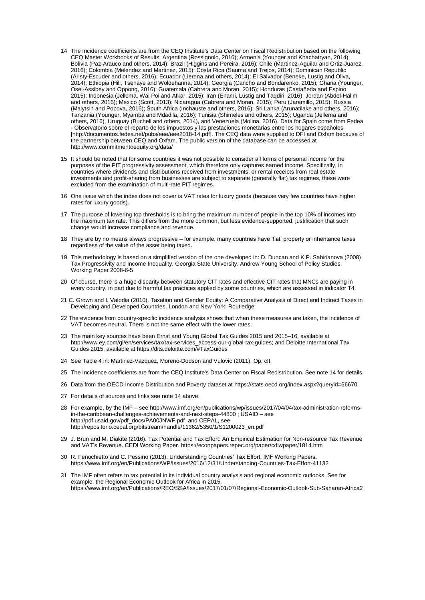- 14 The Incidence coefficients are from the CEQ Institute's Data Center on Fiscal Redistribution based on the following CEQ Master Workbooks of Results: Argentina (Rossignolo, 2016); Armenia (Younger and Khachatryan, 2014); Bolivia (Paz-Arauco and others, 2014); Brazil (Higgins and Pereira, 2016); Chile (Martinez-Aguilar and Ortiz-Juarez, 2016); Colombia (Melendez and Martinez, 2015); Costa Rica (Sauma and Trejos, 2014); Dominican Republic (Aristy-Escuder and others, 2016); Ecuador (Llerena and others, 2014); El Salvador (Beneke, Lustig and Oliva, 2014); Ethiopia (Hill, Tsehaye and Woldehanna, 2014); Georgia (Cancho and Bondarenko, 2015); Ghana (Younger, Osei-Assibey and Oppong, 2016); Guatemala (Cabrera and Moran, 2015); Honduras (Castañeda and Espino, 2015); Indonesia (Jellema, Wai Poi and Afkar, 2015); Iran (Enami, Lustig and Taqdiri, 2016); Jordan (Abdel-Halim and others, 2016); Mexico (Scott, 2013); Nicaragua (Cabrera and Moran, 2015); Peru (Jaramillo, 2015); Russia (Malytsin and Popova, 2016); South Africa (Inchauste and others, 2016); Sri Lanka (Arunatilake and others, 2016); Tanzania (Younger, Myamba and Mdadila, 2016); Tunisia (Shimeles and others, 2015); Uganda (Jellema and others, 2016), Uruguay (Bucheli and others, 2014), and Venezuela (Molina, 2016). Data for Spain come from Fedea - Observatorio sobre el reparto de los impuestos y las prestaciones monetarias entre los hogares españoles [\[http://documentos.fedea.net/pubs/eee/eee2018-14.pdf\]](http://documentos.fedea.net/pubs/eee/eee2018-14.pdf). The CEQ data were supplied to DFI and Oxfam because of the partnership between CEQ and Oxfam. The public version of the database can be accessed at <http://www.commitmentoequity.org/data/>
- 15 It should be noted that for some countries it was not possible to consider all forms of personal income for the purposes of the PIT progressivity assessment, which therefore only captures earned income. Specifically, in countries where dividends an[d distributions](https://www.investopedia.com/terms/d/distribution.asp) received from investments, or rental [receipts](https://www.investopedia.com/terms/r/receipt.asp) from real estate investments and profit-sharing from businesses are subject to separate (generally flat) tax regimes, these were excluded from the examination of multi-rate PIT regimes.
- 16 One issue which the index does not cover is VAT rates for luxury goods (because very few countries have higher rates for luxury goods).
- 17 The purpose of lowering top thresholds is to bring the maximum number of people in the top 10% of incomes into the maximum tax rate. This differs from the more common, but less evidence-supported, justification that such change would increase compliance and revenue.
- 18 They are by no means always progressive for example, many countries have 'flat' property or inheritance taxes regardless of the value of the asset being taxed.
- 19 This methodology is based on a simplified version of the one developed in: D. Duncan and K.P. Sabirianova (2008). Tax Progressivity and Income Inequality. Georgia State University. Andrew Young School of Policy Studies. Working Paper 2008-6-5
- 20 Of course, there is a huge disparity between statutory CIT rates and effective CIT rates that MNCs are paying in every country, in part due to harmful tax practices applied by some countries, which are assessed in indicator T4.
- 21 C. Grown and I. Valodia (2010). Taxation and Gender Equity: A Comparative Analysis of Direct and Indirect Taxes in Developing and Developed Countries. London and New York: Routledge.
- 22 The evidence from country-specific incidence analysis shows that when these measures are taken, the incidence of VAT becomes neutral. There is not the same effect with the lower rates.
- 23 The main key sources have been Ernst and Young Global Tax Guides 2015 and 2015–16, available at [http://www.ey.com/gl/en/services/tax/tax-services\\_access-our-global-tax-guides;](http://www.ey.com/gl/en/services/tax/tax-services_access-our-global-tax-guides) and Deloitte International Tax Guides 2015, available at<https://dits.deloitte.com/#TaxGuides>
- 24 See Table 4 in: Martinez-Vazquez, Moreno-Dodson and Vulovic (2011). Op. cIt.
- 25 The Incidence coefficients are from the CEQ Institute's Data Center on Fiscal Redistribution. See note 14 for details.
- 26 Data from the OECD Income Distribution and Poverty dataset at<https://stats.oecd.org/index.aspx?queryid=66670>
- 27 For details of sources and links see note 14 above.
- 28 For example, by the IMF see [http://www.imf.org/en/publications/wp/issues/2017/04/04/tax-administration-reforms](http://www.imf.org/en/publications/wp/issues/2017/04/04/tax-administration-reforms-in-the-caribbean-challenges-achievements-and-next-steps-44800)[in-the-caribbean-challenges-achievements-and-next-steps-44800](http://www.imf.org/en/publications/wp/issues/2017/04/04/tax-administration-reforms-in-the-caribbean-challenges-achievements-and-next-steps-44800) ; USAID – see http://pdf.usaid.gov/pdf\_docs/PA00JNWF.pdf\_and CEPAL, see [http://repositorio.cepal.org/bitstream/handle/11362/5350/1/S1200023\\_en.pdf](http://repositorio.cepal.org/bitstream/handle/11362/5350/1/S1200023_en.pdf)
- 29 J. Brun and M. Diakite (2016). Tax Potential and Tax Effort: An Empirical Estimation for Non-resource Tax Revenue and VAT's Revenue. CEDI Working Paper[. https://econpapers.repec.org/paper/cdiwpaper/1814.htm](https://econpapers.repec.org/paper/cdiwpaper/1814.htm)
- 30 R. Fenochietto and C. Pessino (2013). Understanding Countries' Tax Effort. IMF Working Papers. <https://www.imf.org/en/Publications/WP/Issues/2016/12/31/Understanding-Countries-Tax-Effort-41132>
- 31 The IMF often refers to tax potential in its individual country analysis and regional economic outlooks. See for example, the Regional Economic Outlook for Africa in 2015. https://www.imf.org/en/Publications/REO/SSA/Issues/2017/01/07/Regional-Economic-Outlook-Sub-Saharan-Africa2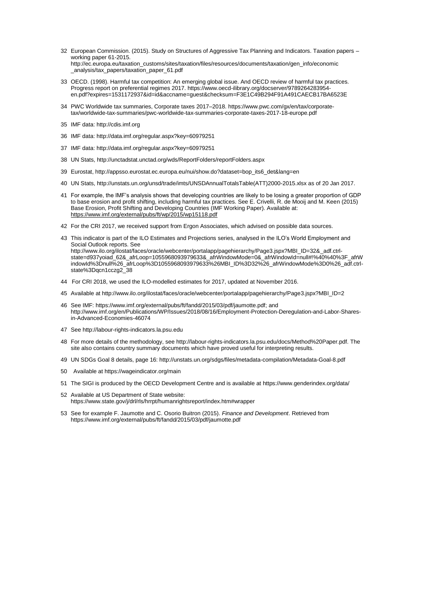- 32 European Commission. (2015). Study on Structures of Aggressive Tax Planning and Indicators. Taxation papers working paper 61-2015. [http://ec.europa.eu/taxation\\_customs/sites/taxation/files/resources/documents/taxation/gen\\_info/economic](http://ec.europa.eu/taxation_customs/sites/taxation/files/resources/documents/taxation/gen_info/economic%20_analysis/tax_papers/taxation_paper_61.pdf)  [\\_analysis/tax\\_papers/taxation\\_paper\\_61.pdf](http://ec.europa.eu/taxation_customs/sites/taxation/files/resources/documents/taxation/gen_info/economic%20_analysis/tax_papers/taxation_paper_61.pdf)
- 33 OECD. (1998). Harmful tax competition: An emerging global issue. And OECD review of harmful tax practices. Progress report on preferential regimes 2017. https://www.oecd-ilibrary.org/docserver/9789264283954 en.pdf?expires=1531172937&id=id&accname=guest&checksum=F3E1C49B294F91A491CAECB17BA6523E
- 34 PWC Worldwide tax summaries, Corporate taxes 2017–2018. [https://www.pwc.com/gx/en/tax/corporate](https://www.pwc.com/gx/en/tax/corporate-tax/worldwide-tax-summaries/pwc-worldwide-tax-summaries-corporate-taxes-2017-18-europe.pdf)[tax/worldwide-tax-summaries/pwc-worldwide-tax-summaries-corporate-taxes-2017-18-europe.pdf](https://www.pwc.com/gx/en/tax/corporate-tax/worldwide-tax-summaries/pwc-worldwide-tax-summaries-corporate-taxes-2017-18-europe.pdf)
- 35 IMF data[: http://cdis.imf.org](http://cdis.imf.org/)
- 36 IMF data[: http://data.imf.org/regular.aspx?key=60979251](http://data.imf.org/regular.aspx?key=60979251)
- 37 IMF data[: http://data.imf.org/regular.aspx?key=60979251](http://data.imf.org/regular.aspx?key=60979251)
- 38 UN Stats[, http://unctadstat.unctad.org/wds/ReportFolders/reportFolders.aspx](http://unctadstat.unctad.org/wds/ReportFolders/reportFolders.aspx)
- 39 Eurostat[, http://appsso.eurostat.ec.europa.eu/nui/show.do?dataset=bop\\_its6\\_det&lang=en](http://appsso.eurostat.ec.europa.eu/nui/show.do?dataset=bop_its6_det&lang=en)
- 40 UN Stats[, http://unstats.un.org/unsd/trade/imts/UNSDAnnualTotalsTable\(ATT\)2000-2015.xlsx](http://unstats.un.org/unsd/trade/imts/UNSDAnnualTotalsTable(ATT)2000-2015.xlsx) as of 20 Jan 2017.
- 41 For example, the IMF's analysis shows that developing countries are likely to be losing a greater proportion of GDP to base erosion and profit shifting, including harmful tax practices. See E. Crivelli, R. de Mooij and M. Keen (2015) Base Erosion, Profit Shifting and Developing Countries (IMF Working Paper). Available at: <https://www.imf.org/external/pubs/ft/wp/2015/wp15118.pdf>
- 42 For the CRI 2017, we received support from Ergon Associates, which advised on possible data sources.
- 43 This indicator is part of the ILO Estimates and Projections series, analysed in the [ILO's World Employment and](http://www.ilo.org/global/research/global-reports/weso/2018/lang--en/index.htm)  [Social Outlook](http://www.ilo.org/global/research/global-reports/weso/2018/lang--en/index.htm) reports. See [http://www.ilo.org/ilostat/faces/oracle/webcenter/portalapp/pagehierarchy/Page3.jspx?MBI\\_ID=32&\\_adf.ctrl](http://www.ilo.org/ilostat/faces/oracle/webcenter/portalapp/pagehierarchy/Page3.jspx?MBI_ID=32&_adf.ctrl-state=d937yoiad_62&_afrLoop=1055968093979633&_afrWindowMode=0&_afrWindowId=null#!%40%40%3F_afrWindowId%3Dnull%26_afrLoop%3D1055968093979633%26MBI_ID%3D32%26_afrWindowMode%3D0%26_adf.ctrl-state%3Dqcn1cczg2_38)[state=d937yoiad\\_62&\\_afrLoop=1055968093979633&\\_afrWindowMode=0&\\_afrWindowId=null#!%40%40%3F\\_afrW](http://www.ilo.org/ilostat/faces/oracle/webcenter/portalapp/pagehierarchy/Page3.jspx?MBI_ID=32&_adf.ctrl-state=d937yoiad_62&_afrLoop=1055968093979633&_afrWindowMode=0&_afrWindowId=null#!%40%40%3F_afrWindowId%3Dnull%26_afrLoop%3D1055968093979633%26MBI_ID%3D32%26_afrWindowMode%3D0%26_adf.ctrl-state%3Dqcn1cczg2_38) [indowId%3Dnull%26\\_afrLoop%3D1055968093979633%26MBI\\_ID%3D32%26\\_afrWindowMode%3D0%26\\_adf.ctrl](http://www.ilo.org/ilostat/faces/oracle/webcenter/portalapp/pagehierarchy/Page3.jspx?MBI_ID=32&_adf.ctrl-state=d937yoiad_62&_afrLoop=1055968093979633&_afrWindowMode=0&_afrWindowId=null#!%40%40%3F_afrWindowId%3Dnull%26_afrLoop%3D1055968093979633%26MBI_ID%3D32%26_afrWindowMode%3D0%26_adf.ctrl-state%3Dqcn1cczg2_38)[state%3Dqcn1cczg2\\_38](http://www.ilo.org/ilostat/faces/oracle/webcenter/portalapp/pagehierarchy/Page3.jspx?MBI_ID=32&_adf.ctrl-state=d937yoiad_62&_afrLoop=1055968093979633&_afrWindowMode=0&_afrWindowId=null#!%40%40%3F_afrWindowId%3Dnull%26_afrLoop%3D1055968093979633%26MBI_ID%3D32%26_afrWindowMode%3D0%26_adf.ctrl-state%3Dqcn1cczg2_38)
- 44 For CRI 2018, we used the ILO-modelled estimates for 2017, updated at November 2016.
- 45 Available at [http://www.ilo.org/ilostat/faces/oracle/webcenter/portalapp/pagehierarchy/Page3.jspx?MBI\\_ID=2](http://www.ilo.org/ilostat/faces/oracle/webcenter/portalapp/pagehierarchy/Page3.jspx?MBI_ID=2)
- 46 See IMF: [https://www.imf.org/external/pubs/ft/fandd/2015/03/pdf/jaumotte.pdf;](https://www.imf.org/external/pubs/ft/fandd/2015/03/pdf/jaumotte.pdf) and [http://www.imf.org/en/Publications/WP/Issues/2018/08/16/Employment-Protection-Deregulation-and-Labor-Shares](http://www.imf.org/en/Publications/WP/Issues/2018/08/16/Employment-Protection-Deregulation-and-Labor-Shares-in-Advanced-Economies-46074)[in-Advanced-Economies-46074](http://www.imf.org/en/Publications/WP/Issues/2018/08/16/Employment-Protection-Deregulation-and-Labor-Shares-in-Advanced-Economies-46074)
- 47 Se[e http://labour-rights-indicators.la.psu.edu](http://labour-rights-indicators.la.psu.edu/)
- 48 For more details of the methodology, see [http://labour-rights-indicators.la.psu.edu/docs/Method%20Paper.pdf.](http://labour-rights-indicators.la.psu.edu/docs/Method%20Paper.pdf) The site also contains country summary documents which have proved useful for interpreting results.
- 49 UN SDGs Goal 8 details, page 16[: http://unstats.un.org/sdgs/files/metadata-compilation/Metadata-Goal-8.pdf](http://unstats.un.org/sdgs/files/metadata-compilation/Metadata-Goal-8.pdf)
- 50 Available a[t https://wageindicator.org/main](https://wageindicator.org/main)
- 51 The SIGI is produced by the OECD Development Centre and is available at<https://www.genderindex.org/data/>
- 52 Available at US Department of State website: <https://www.state.gov/j/drl/rls/hrrpt/humanrightsreport/index.htm#wrapper>
- 53 See for example F. Jaumotte and C. Osorio Buitron (2015). *Finance and Development*. Retrieved from <https://www.imf.org/external/pubs/ft/fandd/2015/03/pdf/jaumotte.pdf>